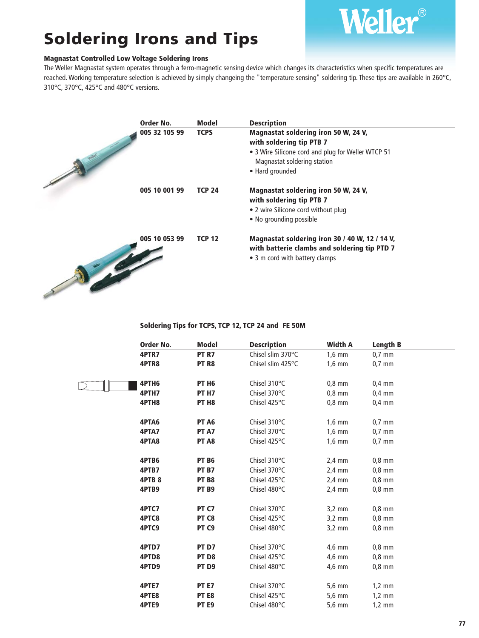# **Soldering Irons and Tips**

#### **Magnastat Controlled Low Voltage Soldering Irons**

The Weller Magnastat system operates through a ferro-magnetic sensing device which changes its characteristics when specific temperatures are reached. Working temperature selection is achieved by simply changeing the "temperature sensing" soldering tip. These tips are available in 260°C, 310°C, 370°C, 425°C and 480°C versions.

**Weller®** 

| Order No.     | <b>Model</b>  | <b>Description</b>                                                                                                                                                       |
|---------------|---------------|--------------------------------------------------------------------------------------------------------------------------------------------------------------------------|
| 005 32 105 99 | <b>TCPS</b>   | Magnastat soldering iron 50 W, 24 V,<br>with soldering tip PTB 7<br>• 3 Wire Silicone cord and plug for Weller WTCP 51<br>Magnastat soldering station<br>• Hard grounded |
| 005 10 001 99 | <b>TCP 24</b> | Magnastat soldering iron 50 W, 24 V,<br>with soldering tip PTB 7<br>• 2 wire Silicone cord without plug<br>• No grounding possible                                       |
| 005 10 053 99 | <b>TCP 12</b> | Magnastat soldering iron 30 / 40 W, 12 / 14 V,<br>with batterie clambs and soldering tip PTD 7<br>• 3 m cord with battery clamps                                         |

**Soldering Tips for TCPS, TCP 12, TCP 24 and FE 50M**

| Order No. | <b>Model</b>      | <b>Description</b> | <b>Width A</b>   | <b>Length B</b>  |
|-----------|-------------------|--------------------|------------------|------------------|
| 4PTR7     | PT <sub>R7</sub>  | Chisel slim 370°C  | $1,6$ mm         | $0.7$ mm         |
| 4PTR8     | PT <sub>R8</sub>  | Chisel slim 425°C  | $1,6$ mm         | $0,7$ mm         |
|           |                   |                    |                  |                  |
| 4PTH6     | <b>PT H6</b>      | Chisel 310°C       | $0,8$ mm         | $0,4$ mm         |
| 4PTH7     | <b>PT H7</b>      | Chisel 370°C       | $0,8$ mm         | $0.4$ mm         |
| 4PTH8     | PT H <sub>8</sub> | Chisel 425°C       | $0,8$ mm         | $0.4$ mm         |
| 4PTA6     | PT <sub>A6</sub>  | Chisel 310°C       | $1,6$ mm         | $0.7$ mm         |
| 4PTA7     | PT <sub>A7</sub>  | Chisel 370°C       | $1,6$ mm         | $0,7$ mm         |
| 4PTA8     | PT A8             | Chisel 425°C       | $1,6$ mm         | $0.7$ mm         |
|           |                   |                    |                  |                  |
| 4PTB6     | <b>PT B6</b>      | Chisel 310°C       | $2,4$ mm         | $0,8$ mm         |
| 4PTB7     | PT <sub>B7</sub>  | Chisel 370°C       | $2,4$ mm         | $0,8$ mm         |
| 4PTB8     | PT <sub>B8</sub>  | Chisel 425°C       | $2.4 \text{ mm}$ | $0,8$ mm         |
| 4PTB9     | PT <sub>B9</sub>  | Chisel 480°C       | $2,4$ mm         | $0,8$ mm         |
|           |                   |                    |                  |                  |
| 4PTC7     | PT <sub>C7</sub>  | Chisel 370°C       | $3,2$ mm         | $0,8$ mm         |
| 4PTC8     | PT <sub>C8</sub>  | Chisel 425°C       | $3.2 \text{ mm}$ | $0,8$ mm         |
| 4PTC9     | PT <sub>C9</sub>  | Chisel 480°C       | $3.2 \text{ mm}$ | $0,8$ mm         |
| 4PTD7     | PT <sub>D7</sub>  | Chisel 370°C       | $4,6$ mm         | $0,8$ mm         |
| 4PTD8     | PT <sub>D8</sub>  | Chisel 425°C       | 4,6 mm           | $0,8$ mm         |
| 4PTD9     | PT <sub>D9</sub>  | Chisel 480°C       | 4,6 mm           | $0,8$ mm         |
|           |                   |                    |                  |                  |
| 4PTE7     | PT <sub>E7</sub>  | Chisel 370°C       | $5,6$ mm         | $1,2 \text{ mm}$ |
| 4PTE8     | PT <sub>E8</sub>  | Chisel 425°C       | 5,6 mm           | $1,2 \text{ mm}$ |
| 4PTE9     | PT <sub>E9</sub>  | Chisel 480°C       | 5,6 mm           | $1,2 \text{ mm}$ |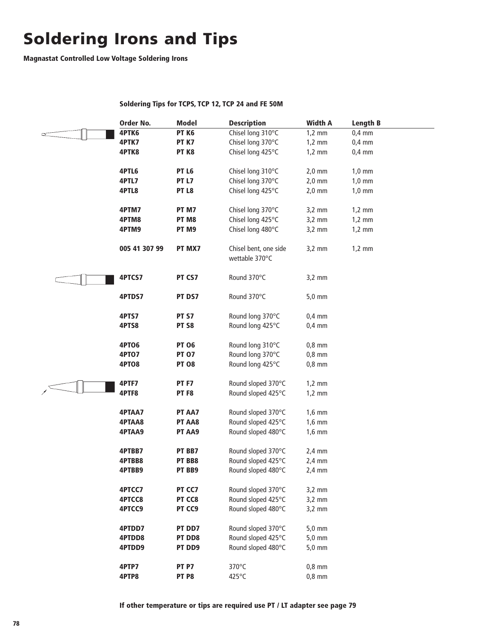### **Soldering Irons and Tips**

**Magnastat Controlled Low Voltage Soldering Irons**

| Order No.     | <b>Model</b>     | <b>Description</b>    | <b>Width A</b>   | <b>Length B</b>  |
|---------------|------------------|-----------------------|------------------|------------------|
| 4PTK6         | PT <sub>K6</sub> | Chisel long 310°C     | $1,2$ mm         | $0,4$ mm         |
| 4PTK7         | PT <sub>K7</sub> | Chisel long 370°C     | $1,2 \text{ mm}$ | $0,4$ mm         |
| 4PTK8         | PT <sub>K8</sub> | Chisel long 425°C     | $1,2$ mm         | $0,4$ mm         |
|               |                  |                       |                  |                  |
| 4PTL6         | PT <sub>L6</sub> | Chisel long 310°C     | $2,0$ mm         | $1,0$ mm         |
| 4PTL7         | <b>PT L7</b>     | Chisel long 370°C     | $2,0$ mm         | $1,0$ mm         |
| 4PTL8         | PT <sub>L8</sub> | Chisel long 425°C     | $2,0$ mm         | $1,0$ mm         |
|               |                  |                       |                  |                  |
| 4PTM7         | PT <sub>M7</sub> | Chisel long 370°C     | $3,2$ mm         | $1,2 \text{ mm}$ |
| 4PTM8         | PT <sub>M8</sub> | Chisel long 425°C     | $3,2$ mm         | $1,2$ mm         |
| 4PTM9         | PT <sub>M9</sub> | Chisel long 480°C     | $3,2$ mm         | $1,2 \text{ mm}$ |
| 005 41 307 99 | PT MX7           | Chisel bent, one side | $3,2$ mm         | $1,2 \text{ mm}$ |
|               |                  | wettable 370°C        |                  |                  |
| 4PTCS7        | PT CS7           | Round 370°C           | $3,2$ mm         |                  |
| 4PTDS7        | PT DS7           | Round 370°C           | $5,0$ mm         |                  |
| 4PTS7         | <b>PT S7</b>     | Round long 370°C      | $0,4$ mm         |                  |
| 4PTS8         | PT <sub>S8</sub> | Round long 425°C      | $0,4$ mm         |                  |
|               |                  |                       |                  |                  |
| <b>4PT06</b>  | <b>PT 06</b>     | Round long 310°C      | $0,8$ mm         |                  |
| <b>4PT07</b>  | <b>PT 07</b>     | Round long 370°C      | $0,8$ mm         |                  |
| 4PTO8         | <b>PT 08</b>     | Round long 425°C      | $0,8$ mm         |                  |
| 4PTF7         | PT <sub>F7</sub> | Round sloped 370°C    | $1,2$ mm         |                  |
| 4PTF8         | PT <sub>F8</sub> | Round sloped 425°C    | $1,2$ mm         |                  |
|               |                  |                       |                  |                  |
| 4PTAA7        | PT AA7           | Round sloped 370°C    | $1,6$ mm         |                  |
| 4PTAA8        | PT AA8           | Round sloped 425°C    | $1,6$ mm         |                  |
| 4PTAA9        | PT AA9           | Round sloped 480°C    | $1,6$ mm         |                  |
|               |                  |                       |                  |                  |
| 4PTBB7        | PT BB7           | Round sloped 370°C    | $2,4$ mm         |                  |
| 4PTBB8        | PT BB8           | Round sloped 425°C    | $2,4$ mm         |                  |
| 4PTBB9        | PT BB9           | Round sloped 480°C    | $2,4$ mm         |                  |
| 4PTCC7        | PT CC7           | Round sloped 370°C    | $3,2$ mm         |                  |
| <b>4PTCC8</b> | PT CC8           | Round sloped 425°C    | $3,2$ mm         |                  |
| <b>4PTCC9</b> | PT CC9           | Round sloped 480°C    | $3,2$ mm         |                  |
|               |                  |                       |                  |                  |
| 4PTDD7        | PT DD7           | Round sloped 370°C    | 5,0 mm           |                  |
| 4PTDD8        | PT DD8           | Round sloped 425°C    | 5,0 mm           |                  |
| 4PTDD9        | PT DD9           | Round sloped 480°C    | $5,0$ mm         |                  |
| 4PTP7         | PT <sub>P7</sub> | 370°C                 | $0,8$ mm         |                  |
| 4PTP8         | PT <sub>P8</sub> | 425°C                 | $0,8$ mm         |                  |
|               |                  |                       |                  |                  |

**Soldering Tips for TCPS, TCP 12, TCP 24 and FE 50M**